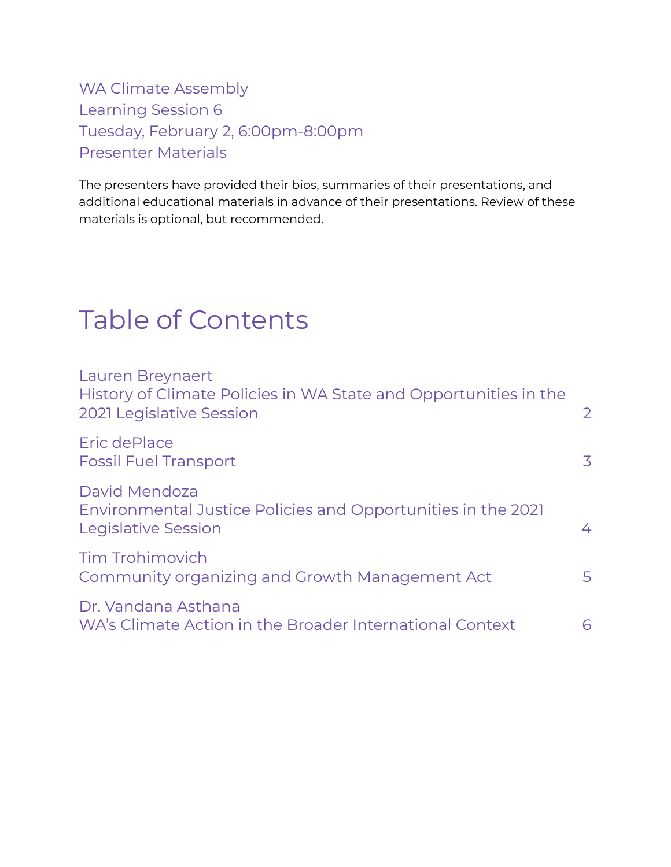WA Climate Assembly Learning Session 6 Tuesday, February 2, 6:00pm-8:00pm Presenter Materials

The presenters have provided their bios, summaries of their presentations, and additional educational materials in advance of their presentations. Review of these materials is optional, but recommended.

# Table of Contents

| <b>Lauren Breynaert</b><br>History of Climate Policies in WA State and Opportunities in the<br>2021 Legislative Session | $\overline{2}$ |
|-------------------------------------------------------------------------------------------------------------------------|----------------|
| Eric dePlace<br><b>Fossil Fuel Transport</b>                                                                            | 3              |
| David Mendoza<br>Environmental Justice Policies and Opportunities in the 2021<br>Legislative Session                    | 4              |
| <b>Tim Trohimovich</b><br>Community organizing and Growth Management Act                                                | 5              |
| Dr. Vandana Asthana<br>WA's Climate Action in the Broader International Context                                         | 6              |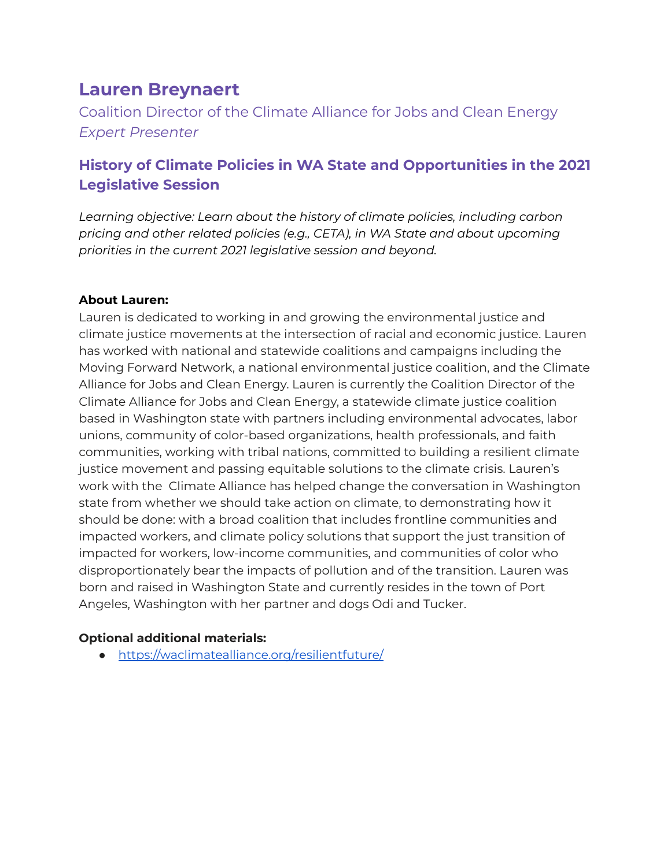# **Lauren Breynaert**

<span id="page-1-0"></span>Coalition Director of the Climate Alliance for Jobs and Clean Energy *Expert Presenter*

## <span id="page-1-1"></span>**History of Climate Policies in WA State and Opportunities in the 2021 Legislative Session**

*Learning objective: Learn about the history of climate policies, including carbon pricing and other related policies (e.g., CETA), in WA State and about upcoming priorities in the current 2021 legislative session and beyond.*

#### **About Lauren:**

Lauren is dedicated to working in and growing the environmental justice and climate justice movements at the intersection of racial and economic justice. Lauren has worked with national and statewide coalitions and campaigns including the Moving Forward Network, a national environmental justice coalition, and the Climate Alliance for Jobs and Clean Energy. Lauren is currently the Coalition Director of the Climate Alliance for Jobs and Clean Energy, a statewide climate justice coalition based in Washington state with partners including environmental advocates, labor unions, community of color-based organizations, health professionals, and faith communities, working with tribal nations, committed to building a resilient climate justice movement and passing equitable solutions to the climate crisis. Lauren's work with the Climate Alliance has helped change the conversation in Washington state from whether we should take action on climate, to demonstrating how it should be done: with a broad coalition that includes frontline communities and impacted workers, and climate policy solutions that support the just transition of impacted for workers, low-income communities, and communities of color who disproportionately bear the impacts of pollution and of the transition. Lauren was born and raised in Washington State and currently resides in the town of Port Angeles, Washington with her partner and dogs Odi and Tucker.

#### **Optional additional materials:**

● <https://waclimatealliance.org/resilientfuture/>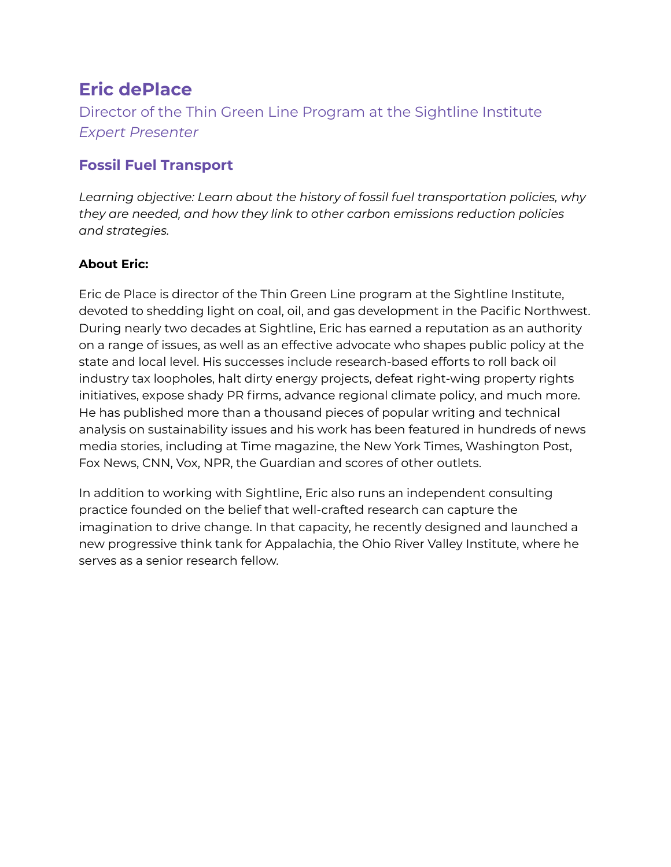# **Eric dePlace**

<span id="page-2-0"></span>Director of the Thin Green Line Program at the Sightline Institute *Expert Presenter*

### <span id="page-2-1"></span>**Fossil Fuel Transport**

*Learning objective: Learn about the history of fossil fuel transportation policies, why they are needed, and how they link to other carbon emissions reduction policies and strategies.*

### **About Eric:**

Eric de Place is director of the Thin Green Line program at the Sightline Institute, devoted to shedding light on coal, oil, and gas development in the Pacific Northwest. During nearly two decades at Sightline, Eric has earned a reputation as an authority on a range of issues, as well as an effective advocate who shapes public policy at the state and local level. His successes include research-based efforts to roll back oil industry tax loopholes, halt dirty energy projects, defeat right-wing property rights initiatives, expose shady PR firms, advance regional climate policy, and much more. He has published more than a thousand pieces of popular writing and technical analysis on sustainability issues and his work has been featured in hundreds of news media stories, including at Time magazine, the New York Times, Washington Post, Fox News, CNN, Vox, NPR, the Guardian and scores of other outlets.

In addition to working with Sightline, Eric also runs an independent consulting practice founded on the belief that well-crafted research can capture the imagination to drive change. In that capacity, he recently designed and launched a new progressive think tank for Appalachia, the Ohio River Valley Institute, where he serves as a senior research fellow.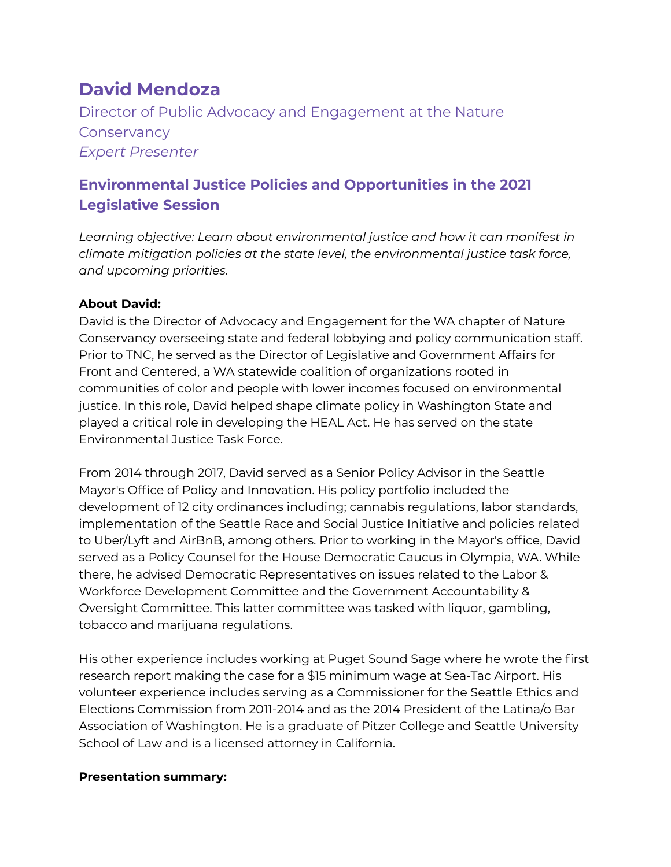# **David Mendoza**

Director of Public Advocacy and Engagement at the Nature **Conservancy** *Expert Presenter*

### <span id="page-3-1"></span><span id="page-3-0"></span>**Environmental Justice Policies and Opportunities in the 2021 Legislative Session**

*Learning objective: Learn about environmental justice and how it can manifest in climate mitigation policies at the state level, the environmental justice task force, and upcoming priorities.*

#### **About David:**

David is the Director of Advocacy and Engagement for the WA chapter of Nature Conservancy overseeing state and federal lobbying and policy communication staff. Prior to TNC, he served as the Director of Legislative and Government Affairs for Front and Centered, a WA statewide coalition of organizations rooted in communities of color and people with lower incomes focused on environmental justice. In this role, David helped shape climate policy in Washington State and played a critical role in developing the HEAL Act. He has served on the state Environmental Justice Task Force.

From 2014 through 2017, David served as a Senior Policy Advisor in the Seattle Mayor's Office of Policy and Innovation. His policy portfolio included the development of 12 city ordinances including; cannabis regulations, labor standards, implementation of the Seattle Race and Social Justice Initiative and policies related to Uber/Lyft and AirBnB, among others. Prior to working in the Mayor's office, David served as a Policy Counsel for the House Democratic Caucus in Olympia, WA. While there, he advised Democratic Representatives on issues related to the Labor & Workforce Development Committee and the Government Accountability & Oversight Committee. This latter committee was tasked with liquor, gambling, tobacco and marijuana regulations.

His other experience includes working at Puget Sound Sage where he wrote the first research report making the case for a \$15 minimum wage at Sea-Tac Airport. His volunteer experience includes serving as a Commissioner for the Seattle Ethics and Elections Commission from 2011-2014 and as the 2014 President of the Latina/o Bar Association of Washington. He is a graduate of Pitzer College and Seattle University School of Law and is a licensed attorney in California.

#### **Presentation summary:**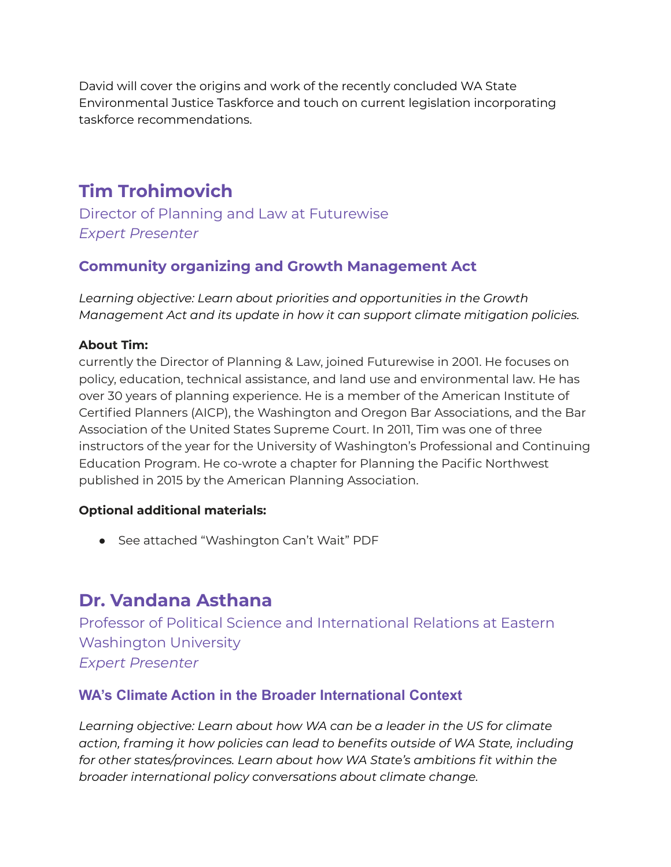David will cover the origins and work of the recently concluded WA State Environmental Justice Taskforce and touch on current legislation incorporating taskforce recommendations.

# **Tim Trohimovich**

<span id="page-4-0"></span>Director of Planning and Law at Futurewise *Expert Presenter*

### <span id="page-4-1"></span>**Community organizing and Growth Management Act**

*Learning objective: Learn about priorities and opportunities in the Growth Management Act and its update in how it can support climate mitigation policies.*

#### **About Tim:**

currently the Director of Planning & Law, joined Futurewise in 2001. He focuses on policy, education, technical assistance, and land use and environmental law. He has over 30 years of planning experience. He is a member of the American Institute of Certified Planners (AICP), the Washington and Oregon Bar Associations, and the Bar Association of the United States Supreme Court. In 2011, Tim was one of three instructors of the year for the University of Washington's Professional and Continuing Education Program. He co-wrote a chapter for Planning the Pacific Northwest published in 2015 by the American Planning Association.

#### **Optional additional materials:**

● See attached "Washington Can't Wait" PDF

# **Dr. Vandana Asthana**

Professor of Political Science and International Relations at Eastern Washington University *Expert Presenter*

### <span id="page-4-3"></span><span id="page-4-2"></span>**WA's Climate Action in the Broader International Context**

*Learning objective: Learn about how WA can be a leader in the US for climate action, framing it how policies can lead to benefits outside of WA State, including for other states/provinces. Learn about how WA State's ambitions fit within the broader international policy conversations about climate change.*